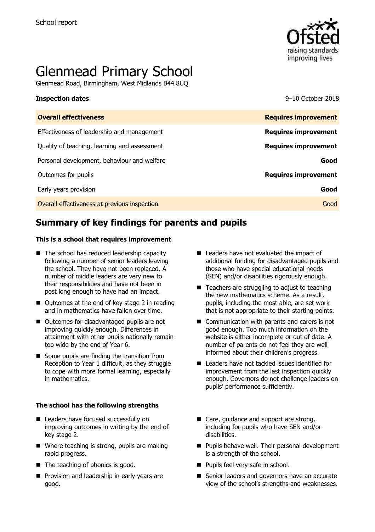

# Glenmead Primary School

Glenmead Road, Birmingham, West Midlands B44 8UQ

**Inspection dates** 9–10 October 2018

| <b>Overall effectiveness</b>                 | <b>Requires improvement</b> |
|----------------------------------------------|-----------------------------|
| Effectiveness of leadership and management   | <b>Requires improvement</b> |
| Quality of teaching, learning and assessment | <b>Requires improvement</b> |
| Personal development, behaviour and welfare  | Good                        |
| Outcomes for pupils                          | <b>Requires improvement</b> |
| Early years provision                        | Good                        |
| Overall effectiveness at previous inspection | Good                        |
|                                              |                             |

# **Summary of key findings for parents and pupils**

### **This is a school that requires improvement**

- $\blacksquare$  The school has reduced leadership capacity following a number of senior leaders leaving the school. They have not been replaced. A number of middle leaders are very new to their responsibilities and have not been in post long enough to have had an impact.
- Outcomes at the end of key stage 2 in reading and in mathematics have fallen over time.
- Outcomes for disadvantaged pupils are not improving quickly enough. Differences in attainment with other pupils nationally remain too wide by the end of Year 6.
- $\blacksquare$  Some pupils are finding the transition from Reception to Year 1 difficult, as they struggle to cope with more formal learning, especially in mathematics.

### **The school has the following strengths**

- Leaders have focused successfully on improving outcomes in writing by the end of key stage 2.
- Where teaching is strong, pupils are making rapid progress.
- The teaching of phonics is good.
- **Provision and leadership in early years are** good.
- Leaders have not evaluated the impact of additional funding for disadvantaged pupils and those who have special educational needs (SEN) and/or disabilities rigorously enough.
- $\blacksquare$  Teachers are struggling to adjust to teaching the new mathematics scheme. As a result, pupils, including the most able, are set work that is not appropriate to their starting points.
- Communication with parents and carers is not good enough. Too much information on the website is either incomplete or out of date. A number of parents do not feel they are well informed about their children's progress.
- Leaders have not tackled issues identified for improvement from the last inspection quickly enough. Governors do not challenge leaders on pupils' performance sufficiently.
- Care, guidance and support are strong, including for pupils who have SEN and/or disabilities.
- **Pupils behave well. Their personal development** is a strength of the school.
- **Pupils feel very safe in school.**
- Senior leaders and governors have an accurate view of the school's strengths and weaknesses.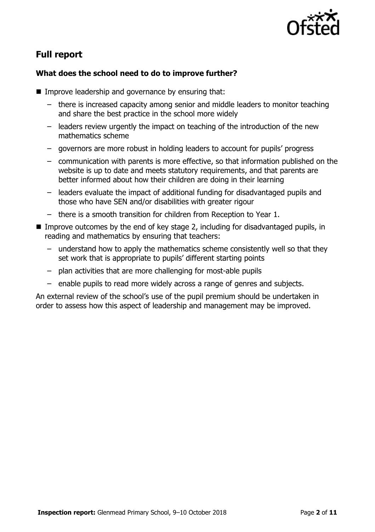

# **Full report**

### **What does the school need to do to improve further?**

- **IMPROVE LEADERSHIP and governance by ensuring that:** 
	- there is increased capacity among senior and middle leaders to monitor teaching and share the best practice in the school more widely
	- leaders review urgently the impact on teaching of the introduction of the new mathematics scheme
	- governors are more robust in holding leaders to account for pupils' progress
	- communication with parents is more effective, so that information published on the website is up to date and meets statutory requirements, and that parents are better informed about how their children are doing in their learning
	- leaders evaluate the impact of additional funding for disadvantaged pupils and those who have SEN and/or disabilities with greater rigour
	- there is a smooth transition for children from Reception to Year 1.
- Improve outcomes by the end of key stage 2, including for disadvantaged pupils, in reading and mathematics by ensuring that teachers:
	- understand how to apply the mathematics scheme consistently well so that they set work that is appropriate to pupils' different starting points
	- plan activities that are more challenging for most-able pupils
	- enable pupils to read more widely across a range of genres and subjects.

An external review of the school's use of the pupil premium should be undertaken in order to assess how this aspect of leadership and management may be improved.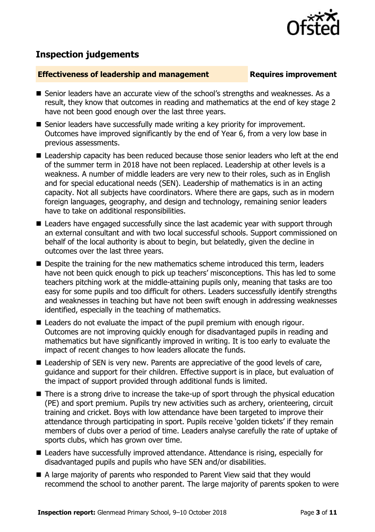

## **Inspection judgements**

### **Effectiveness of leadership and management Requires improvement**

- Senior leaders have an accurate view of the school's strengths and weaknesses. As a result, they know that outcomes in reading and mathematics at the end of key stage 2 have not been good enough over the last three years.
- Senior leaders have successfully made writing a key priority for improvement. Outcomes have improved significantly by the end of Year 6, from a very low base in previous assessments.
- Leadership capacity has been reduced because those senior leaders who left at the end of the summer term in 2018 have not been replaced. Leadership at other levels is a weakness. A number of middle leaders are very new to their roles, such as in English and for special educational needs (SEN). Leadership of mathematics is in an acting capacity. Not all subjects have coordinators. Where there are gaps, such as in modern foreign languages, geography, and design and technology, remaining senior leaders have to take on additional responsibilities.
- Leaders have engaged successfully since the last academic year with support through an external consultant and with two local successful schools. Support commissioned on behalf of the local authority is about to begin, but belatedly, given the decline in outcomes over the last three years.
- Despite the training for the new mathematics scheme introduced this term, leaders have not been quick enough to pick up teachers' misconceptions. This has led to some teachers pitching work at the middle-attaining pupils only, meaning that tasks are too easy for some pupils and too difficult for others. Leaders successfully identify strengths and weaknesses in teaching but have not been swift enough in addressing weaknesses identified, especially in the teaching of mathematics.
- Leaders do not evaluate the impact of the pupil premium with enough rigour. Outcomes are not improving quickly enough for disadvantaged pupils in reading and mathematics but have significantly improved in writing. It is too early to evaluate the impact of recent changes to how leaders allocate the funds.
- Leadership of SEN is very new. Parents are appreciative of the good levels of care, guidance and support for their children. Effective support is in place, but evaluation of the impact of support provided through additional funds is limited.
- There is a strong drive to increase the take-up of sport through the physical education (PE) and sport premium. Pupils try new activities such as archery, orienteering, circuit training and cricket. Boys with low attendance have been targeted to improve their attendance through participating in sport. Pupils receive 'golden tickets' if they remain members of clubs over a period of time. Leaders analyse carefully the rate of uptake of sports clubs, which has grown over time.
- Leaders have successfully improved attendance. Attendance is rising, especially for disadvantaged pupils and pupils who have SEN and/or disabilities.
- A large majority of parents who responded to Parent View said that they would recommend the school to another parent. The large majority of parents spoken to were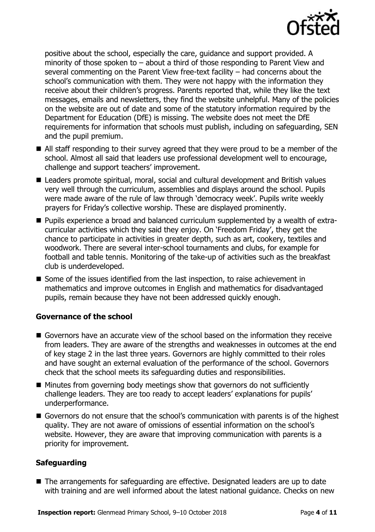

positive about the school, especially the care, guidance and support provided. A minority of those spoken to – about a third of those responding to Parent View and several commenting on the Parent View free-text facility – had concerns about the school's communication with them. They were not happy with the information they receive about their children's progress. Parents reported that, while they like the text messages, emails and newsletters, they find the website unhelpful. Many of the policies on the website are out of date and some of the statutory information required by the Department for Education (DfE) is missing. The website does not meet the DfE requirements for information that schools must publish, including on safeguarding, SEN and the pupil premium.

- All staff responding to their survey agreed that they were proud to be a member of the school. Almost all said that leaders use professional development well to encourage, challenge and support teachers' improvement.
- Leaders promote spiritual, moral, social and cultural development and British values very well through the curriculum, assemblies and displays around the school. Pupils were made aware of the rule of law through 'democracy week'. Pupils write weekly prayers for Friday's collective worship. These are displayed prominently.
- Pupils experience a broad and balanced curriculum supplemented by a wealth of extracurricular activities which they said they enjoy. On 'Freedom Friday', they get the chance to participate in activities in greater depth, such as art, cookery, textiles and woodwork. There are several inter-school tournaments and clubs, for example for football and table tennis. Monitoring of the take-up of activities such as the breakfast club is underdeveloped.
- Some of the issues identified from the last inspection, to raise achievement in mathematics and improve outcomes in English and mathematics for disadvantaged pupils, remain because they have not been addressed quickly enough.

### **Governance of the school**

- Governors have an accurate view of the school based on the information they receive from leaders. They are aware of the strengths and weaknesses in outcomes at the end of key stage 2 in the last three years. Governors are highly committed to their roles and have sought an external evaluation of the performance of the school. Governors check that the school meets its safeguarding duties and responsibilities.
- Minutes from governing body meetings show that governors do not sufficiently challenge leaders. They are too ready to accept leaders' explanations for pupils' underperformance.
- Governors do not ensure that the school's communication with parents is of the highest quality. They are not aware of omissions of essential information on the school's website. However, they are aware that improving communication with parents is a priority for improvement.

### **Safeguarding**

■ The arrangements for safeguarding are effective. Designated leaders are up to date with training and are well informed about the latest national guidance. Checks on new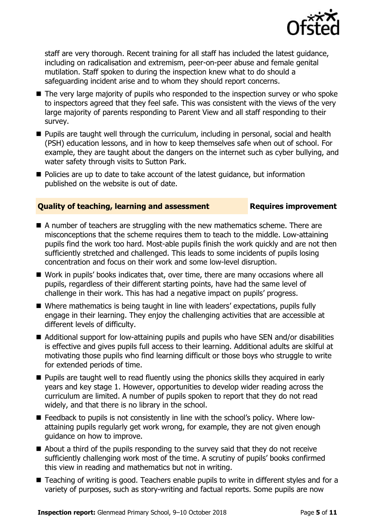

staff are very thorough. Recent training for all staff has included the latest guidance, including on radicalisation and extremism, peer-on-peer abuse and female genital mutilation. Staff spoken to during the inspection knew what to do should a safeguarding incident arise and to whom they should report concerns.

- The very large majority of pupils who responded to the inspection survey or who spoke to inspectors agreed that they feel safe. This was consistent with the views of the very large majority of parents responding to Parent View and all staff responding to their survey.
- **Pupils are taught well through the curriculum, including in personal, social and health** (PSH) education lessons, and in how to keep themselves safe when out of school. For example, they are taught about the dangers on the internet such as cyber bullying, and water safety through visits to Sutton Park.
- Policies are up to date to take account of the latest guidance, but information published on the website is out of date.

### **Quality of teaching, learning and assessment France Requires improvement**

- A number of teachers are struggling with the new mathematics scheme. There are misconceptions that the scheme requires them to teach to the middle. Low-attaining pupils find the work too hard. Most-able pupils finish the work quickly and are not then sufficiently stretched and challenged. This leads to some incidents of pupils losing concentration and focus on their work and some low-level disruption.
- Work in pupils' books indicates that, over time, there are many occasions where all pupils, regardless of their different starting points, have had the same level of challenge in their work. This has had a negative impact on pupils' progress.
- Where mathematics is being taught in line with leaders' expectations, pupils fully engage in their learning. They enjoy the challenging activities that are accessible at different levels of difficulty.
- Additional support for low-attaining pupils and pupils who have SEN and/or disabilities is effective and gives pupils full access to their learning. Additional adults are skilful at motivating those pupils who find learning difficult or those boys who struggle to write for extended periods of time.
- **Pupils are taught well to read fluently using the phonics skills they acquired in early** years and key stage 1. However, opportunities to develop wider reading across the curriculum are limited. A number of pupils spoken to report that they do not read widely, and that there is no library in the school.
- Feedback to pupils is not consistently in line with the school's policy. Where lowattaining pupils regularly get work wrong, for example, they are not given enough guidance on how to improve.
- About a third of the pupils responding to the survey said that they do not receive sufficiently challenging work most of the time. A scrutiny of pupils' books confirmed this view in reading and mathematics but not in writing.
- Teaching of writing is good. Teachers enable pupils to write in different styles and for a variety of purposes, such as story-writing and factual reports. Some pupils are now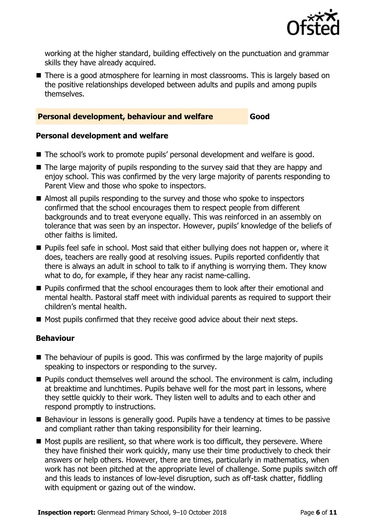

working at the higher standard, building effectively on the punctuation and grammar skills they have already acquired.

■ There is a good atmosphere for learning in most classrooms. This is largely based on the positive relationships developed between adults and pupils and among pupils themselves.

### **Personal development, behaviour and welfare Good**

### **Personal development and welfare**

- The school's work to promote pupils' personal development and welfare is good.
- The large majority of pupils responding to the survey said that they are happy and enjoy school. This was confirmed by the very large majority of parents responding to Parent View and those who spoke to inspectors.
- Almost all pupils responding to the survey and those who spoke to inspectors confirmed that the school encourages them to respect people from different backgrounds and to treat everyone equally. This was reinforced in an assembly on tolerance that was seen by an inspector. However, pupils' knowledge of the beliefs of other faiths is limited.
- **Pupils feel safe in school. Most said that either bullying does not happen or, where it** does, teachers are really good at resolving issues. Pupils reported confidently that there is always an adult in school to talk to if anything is worrying them. They know what to do, for example, if they hear any racist name-calling.
- **Pupils confirmed that the school encourages them to look after their emotional and** mental health. Pastoral staff meet with individual parents as required to support their children's mental health.
- $\blacksquare$  Most pupils confirmed that they receive good advice about their next steps.

### **Behaviour**

- $\blacksquare$  The behaviour of pupils is good. This was confirmed by the large majority of pupils speaking to inspectors or responding to the survey.
- **Pupils conduct themselves well around the school. The environment is calm, including** at breaktime and lunchtimes. Pupils behave well for the most part in lessons, where they settle quickly to their work. They listen well to adults and to each other and respond promptly to instructions.
- Behaviour in lessons is generally good. Pupils have a tendency at times to be passive and compliant rather than taking responsibility for their learning.
- Most pupils are resilient, so that where work is too difficult, they persevere. Where they have finished their work quickly, many use their time productively to check their answers or help others. However, there are times, particularly in mathematics, when work has not been pitched at the appropriate level of challenge. Some pupils switch off and this leads to instances of low-level disruption, such as off-task chatter, fiddling with equipment or gazing out of the window.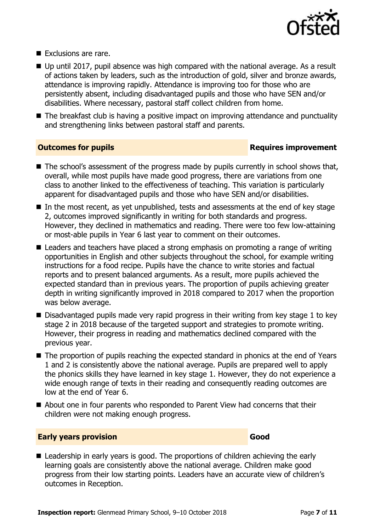

- Exclusions are rare.
- Up until 2017, pupil absence was high compared with the national average. As a result of actions taken by leaders, such as the introduction of gold, silver and bronze awards, attendance is improving rapidly. Attendance is improving too for those who are persistently absent, including disadvantaged pupils and those who have SEN and/or disabilities. Where necessary, pastoral staff collect children from home.
- The breakfast club is having a positive impact on improving attendance and punctuality and strengthening links between pastoral staff and parents.

### **Outcomes for pupils Requires improvement**

- The school's assessment of the progress made by pupils currently in school shows that, overall, while most pupils have made good progress, there are variations from one class to another linked to the effectiveness of teaching. This variation is particularly apparent for disadvantaged pupils and those who have SEN and/or disabilities.
- $\blacksquare$  In the most recent, as yet unpublished, tests and assessments at the end of key stage 2, outcomes improved significantly in writing for both standards and progress. However, they declined in mathematics and reading. There were too few low-attaining or most-able pupils in Year 6 last year to comment on their outcomes.
- Leaders and teachers have placed a strong emphasis on promoting a range of writing opportunities in English and other subjects throughout the school, for example writing instructions for a food recipe. Pupils have the chance to write stories and factual reports and to present balanced arguments. As a result, more pupils achieved the expected standard than in previous years. The proportion of pupils achieving greater depth in writing significantly improved in 2018 compared to 2017 when the proportion was below average.
- $\blacksquare$  Disadvantaged pupils made very rapid progress in their writing from key stage 1 to key stage 2 in 2018 because of the targeted support and strategies to promote writing. However, their progress in reading and mathematics declined compared with the previous year.
- The proportion of pupils reaching the expected standard in phonics at the end of Years 1 and 2 is consistently above the national average. Pupils are prepared well to apply the phonics skills they have learned in key stage 1. However, they do not experience a wide enough range of texts in their reading and consequently reading outcomes are low at the end of Year 6.
- About one in four parents who responded to Parent View had concerns that their children were not making enough progress.

### **Early years provision Good Good**

■ Leadership in early years is good. The proportions of children achieving the early learning goals are consistently above the national average. Children make good progress from their low starting points. Leaders have an accurate view of children's outcomes in Reception.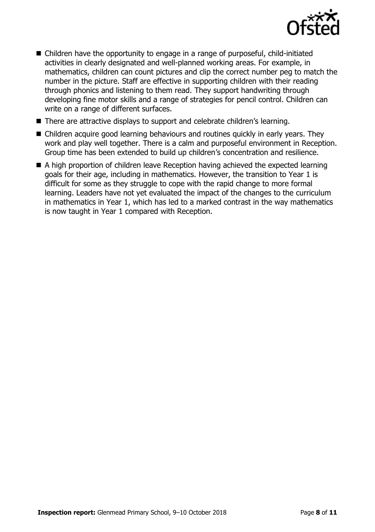

- Children have the opportunity to engage in a range of purposeful, child-initiated activities in clearly designated and well-planned working areas. For example, in mathematics, children can count pictures and clip the correct number peg to match the number in the picture. Staff are effective in supporting children with their reading through phonics and listening to them read. They support handwriting through developing fine motor skills and a range of strategies for pencil control. Children can write on a range of different surfaces.
- There are attractive displays to support and celebrate children's learning.
- Children acquire good learning behaviours and routines quickly in early years. They work and play well together. There is a calm and purposeful environment in Reception. Group time has been extended to build up children's concentration and resilience.
- A high proportion of children leave Reception having achieved the expected learning goals for their age, including in mathematics. However, the transition to Year 1 is difficult for some as they struggle to cope with the rapid change to more formal learning. Leaders have not yet evaluated the impact of the changes to the curriculum in mathematics in Year 1, which has led to a marked contrast in the way mathematics is now taught in Year 1 compared with Reception.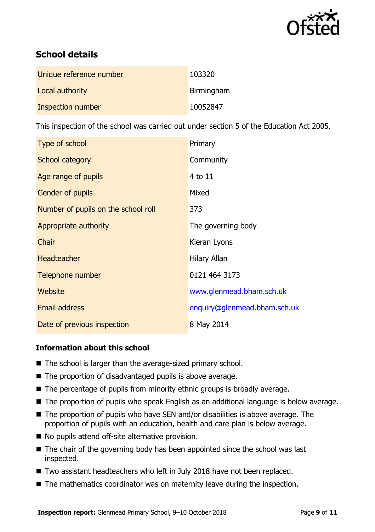

# **School details**

| Unique reference number | 103320     |
|-------------------------|------------|
| Local authority         | Birmingham |
| Inspection number       | 10052847   |

This inspection of the school was carried out under section 5 of the Education Act 2005.

| Type of school                      | Primary                      |
|-------------------------------------|------------------------------|
| School category                     | Community                    |
| Age range of pupils                 | 4 to 11                      |
| <b>Gender of pupils</b>             | Mixed                        |
| Number of pupils on the school roll | 373                          |
| Appropriate authority               | The governing body           |
| Chair                               | Kieran Lyons                 |
| <b>Headteacher</b>                  | Hilary Allan                 |
| Telephone number                    | 0121 464 3173                |
| Website                             | www.glenmead.bham.sch.uk     |
| <b>Email address</b>                | enquiry@glenmead.bham.sch.uk |
| Date of previous inspection         | 8 May 2014                   |

### **Information about this school**

- The school is larger than the average-sized primary school.
- The proportion of disadvantaged pupils is above average.
- $\blacksquare$  The percentage of pupils from minority ethnic groups is broadly average.
- The proportion of pupils who speak English as an additional language is below average.
- The proportion of pupils who have SEN and/or disabilities is above average. The proportion of pupils with an education, health and care plan is below average.
- No pupils attend off-site alternative provision.
- $\blacksquare$  The chair of the governing body has been appointed since the school was last inspected.
- Two assistant headteachers who left in July 2018 have not been replaced.
- The mathematics coordinator was on maternity leave during the inspection.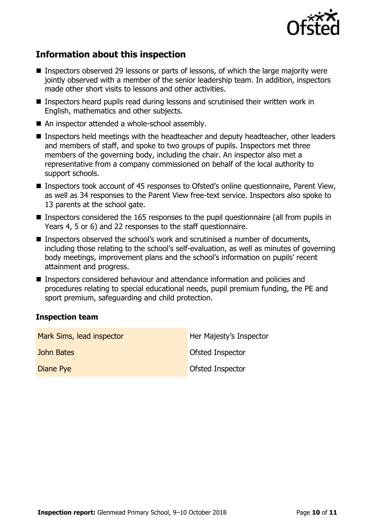

# **Information about this inspection**

- Inspectors observed 29 lessons or parts of lessons, of which the large majority were jointly observed with a member of the senior leadership team. In addition, inspectors made other short visits to lessons and other activities.
- Inspectors heard pupils read during lessons and scrutinised their written work in English, mathematics and other subjects.
- An inspector attended a whole-school assembly.
- Inspectors held meetings with the headteacher and deputy headteacher, other leaders and members of staff, and spoke to two groups of pupils. Inspectors met three members of the governing body, including the chair. An inspector also met a representative from a company commissioned on behalf of the local authority to support schools.
- Inspectors took account of 45 responses to Ofsted's online questionnaire, Parent View, as well as 34 responses to the Parent View free-text service. Inspectors also spoke to 13 parents at the school gate.
- Inspectors considered the 165 responses to the pupil questionnaire (all from pupils in Years 4, 5 or 6) and 22 responses to the staff questionnaire.
- Inspectors observed the school's work and scrutinised a number of documents, including those relating to the school's self-evaluation, as well as minutes of governing body meetings, improvement plans and the school's information on pupils' recent attainment and progress.
- Inspectors considered behaviour and attendance information and policies and procedures relating to special educational needs, pupil premium funding, the PE and sport premium, safeguarding and child protection.

### **Inspection team**

| Mark Sims, lead inspector | Her Majesty's Inspector |
|---------------------------|-------------------------|
| John Bates                | Ofsted Inspector        |
| Diane Pye                 | <b>Ofsted Inspector</b> |